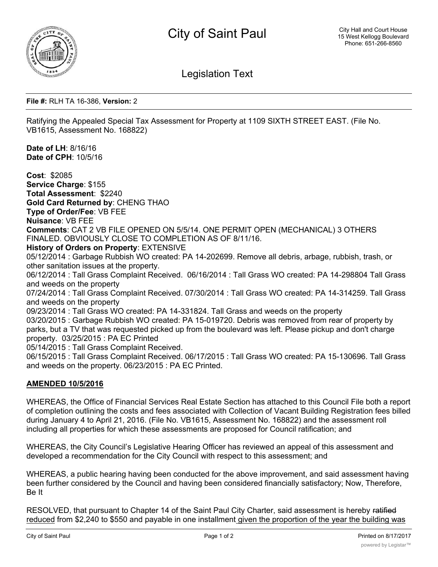

Legislation Text

**File #:** RLH TA 16-386, **Version:** 2

Ratifying the Appealed Special Tax Assessment for Property at 1109 SIXTH STREET EAST. (File No. VB1615, Assessment No. 168822)

**Date of LH**: 8/16/16 **Date of CPH**: 10/5/16

**Cost**: \$2085 **Service Charge**: \$155 **Total Assessment**: \$2240 **Gold Card Returned by**: CHENG THAO **Type of Order/Fee**: VB FEE **Nuisance**: VB FEE **Comments**: CAT 2 VB FILE OPENED ON 5/5/14. ONE PERMIT OPEN (MECHANICAL) 3 OTHERS FINALED. OBVIOUSLY CLOSE TO COMPLETION AS OF 8/11/16. **History of Orders on Property**: EXTENSIVE 05/12/2014 : Garbage Rubbish WO created: PA 14-202699. Remove all debris, arbage, rubbish, trash, or other sanitation issues at the property. 06/12/2014 : Tall Grass Complaint Received. 06/16/2014 : Tall Grass WO created: PA 14-298804 Tall Grass and weeds on the property 07/24/2014 : Tall Grass Complaint Received. 07/30/2014 : Tall Grass WO created: PA 14-314259. Tall Grass and weeds on the property 09/23/2014 : Tall Grass WO created: PA 14-331824. Tall Grass and weeds on the property 03/20/2015 : Garbage Rubbish WO created: PA 15-019720. Debris was removed from rear of property by parks, but a TV that was requested picked up from the boulevard was left. Please pickup and don't charge property. 03/25/2015 : PA EC Printed 05/14/2015 : Tall Grass Complaint Received. 06/15/2015 : Tall Grass Complaint Received. 06/17/2015 : Tall Grass WO created: PA 15-130696. Tall Grass and weeds on the property. 06/23/2015 : PA EC Printed.

## **AMENDED 10/5/2016**

WHEREAS, the Office of Financial Services Real Estate Section has attached to this Council File both a report of completion outlining the costs and fees associated with Collection of Vacant Building Registration fees billed during January 4 to April 21, 2016. (File No. VB1615, Assessment No. 168822) and the assessment roll including all properties for which these assessments are proposed for Council ratification; and

WHEREAS, the City Council's Legislative Hearing Officer has reviewed an appeal of this assessment and developed a recommendation for the City Council with respect to this assessment; and

WHEREAS, a public hearing having been conducted for the above improvement, and said assessment having been further considered by the Council and having been considered financially satisfactory; Now, Therefore, Be It

RESOLVED, that pursuant to Chapter 14 of the Saint Paul City Charter, said assessment is hereby ratified reduced from \$2,240 to \$550 and payable in one installment given the proportion of the year the building was